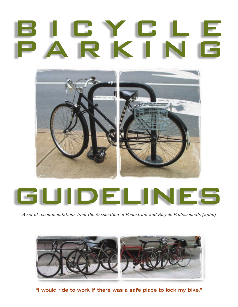# ICYCL parking



*A set of recommendations from the Association of Pedestrian and Bicycle Professionals [apbp]*



**"I would ride to work if there was a safe place to lock my bike."**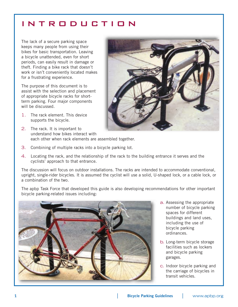### introduction

The lack of a secure parking space keeps many people from using their bikes for basic transportation. Leaving a bicycle unattended, even for short periods, can easily result in damage or theft. Finding a bike rack that doesn't work or isn't conveniently located makes for a frustrating experience.

The purpose of this document is to assist with the selection and placement of appropriate bicycle racks for shortterm parking. Four major components will be discussed.

- 1. The rack element. This device supports the bicycle.
- 2. The rack. It is important to understand how bikes interact with each other when rack elements are assembled together.
- 3. Combining of multiple racks into a bicycle parking lot.
- 4. Locating the rack, and the relationship of the rack to the building entrance it serves and the cyclists' approach to that entrance.

The discussion will focus on outdoor installations. The racks are intended to accommodate conventional, upright, single-rider bicycles. It is assumed the cyclist will use a solid, U-shaped lock, or a cable lock, or a combination of the two.

The apbp Task Force that developed this guide is also developing recommendations for other important bicycle parking-related issues including:



- a. Assessing the appropriate number of bicycle parking spaces for different buildings and land uses, including the use of bicycle parking ordinances.
- b. Long-term bicycle storage facilities such as lockers and bicycle parking garages.
- c. Indoor bicycle parking and the carriage of bicycles in transit vehicles.

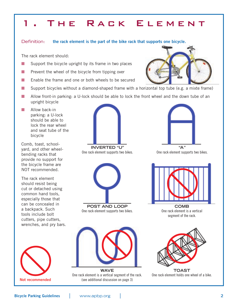# THE RACK ELEMENT

#### Definition: **the rack element is the part of the bike rack that supports one bicycle.**

The rack element should:

- Support the bicycle upright by its frame in two places
- Prevent the wheel of the bicycle from tipping over
- Enable the frame and one or both wheels to be secured
- Support bicycles without a diamond-shaped frame with a horizontal top tube (e.g. a mixte frame)
- Allow front-in parking: a U-lock should be able to lock the front wheel and the down tube of an upright bicycle
- Allow back-in parking: a U-lock should be able to lock the rear wheel and seat tube of the bicycle

Comb, toast, schoolyard, and other wheelbending racks that provide no support for the bicycle frame are NOT recommended.

The rack element should resist being cut or detached using common hand tools, especially those that can be concealed in a backpack. Such tools include bolt cutters, pipe cutters, wrenches, and pry bars.





One rack element supports two bikes.





One rack element supports two bikes.



**COMB** One rack element is a vertical segment of the rack.



One rack element holds one wheel of a bike.



**WAVE** One rack element is a vertical segment of the rack. (see additional discussion on page 3)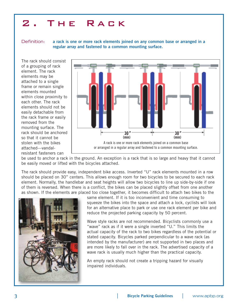# 2. The Rack

Definition: **a rack is one or more rack elements joined on any common base or arranged in a regular array and fastened to a common mounting surface.**

The rack should consist of a grouping of rack element. The rack elements may be attached to a single frame or remain single elements mounted within close proximity to each other. The rack elements should not be easily detachable from the rack frame or easily removed from the mounting surface. The rack should be anchored so that it cannot be stolen with the bikes attached—vandalresistant fasteners can



be used to anchor a rack in the ground. An exception is a rack that is so large and heavy that it cannot be easily moved or lifted with the bicycles attached.

The rack should provide easy, independent bike access. Inverted "U" rack elements mounted in a row should be placed on 30" centers. This allows enough room for two bicycles to be secured to each rack element. Normally, the handlebar and seat heights will allow two bicycles to line up side-by-side if one of them is reversed. When there is a conflict, the bikes can be placed slightly offset from one another as shown. If the elements are placed too close together, it becomes difficult to attach two bikes to the



same element. If it is too inconvenient and time consuming to squeeze the bikes into the space and attach a lock, cyclists will look for an alternative place to park or use one rack element per bike and reduce the projected parking capacity by 50 percent.

Wave style racks are not recommended. Bicyclists commonly use a "wave" rack as if it were a single inverted "U." This limits the actual capacity of the rack to two bikes regardless of the potential or stated capacity. Bicycles parked perpendicular to a wave rack (as intended by the manufacturer) are not supported in two places and are more likely to fall over in the rack. The advertised capacity of a wave rack is usually much higher than the practical capacity.

An empty rack should not create a tripping hazard for visually impaired individuals.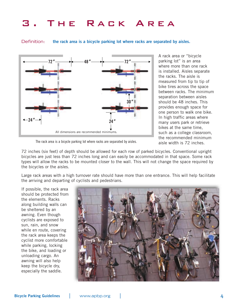# THE RACK AREA

Definition: **the rack area is a bicycle parking lot where racks are separated by aisles.**



A rack area or "bicycle parking lot" is an area where more than one rack is installed. Aisles separate the racks. The aisle is measured from tip to tip of bike tires across the space between racks. The minimum separation between aisles should be 48 inches. This provides enough space for one person to walk one bike. In high traffic areas where many users park or retrieve bikes at the same time, such as a college classroom, the recommended minimum aisle width is 72 inches.

The rack area is a bicycle parking lot where racks are separated by aisles.

72 inches (six feet) of depth should be allowed for each row of parked bicycles. Conventional upright bicycles are just less than 72 inches long and can easily be accommodated in that space. Some rack types will allow the racks to be mounted closer to the wall. This will not change the space required by the bicycles or the aisles.

Large rack areas with a high turnover rate should have more than one entrance. This will help facilitate the arriving and departing of cyclists and pedestrians.

If possible, the rack area should be protected from the elements. Racks along building walls can be sheltered by an awning. Even though cyclists are exposed to sun, rain, and snow while en route, covering the rack area keeps the cyclist more comfortable while parking, locking the bike, and loading or unloading cargo. An awning will also help keep the bicycle dry, especially the saddle.

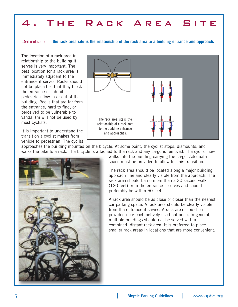# 4. The Rack Area Site

Definition: **the rack area site is the relationship of the rack area to a building entrance and approach.**

The location of a rack area in relationship to the building it serves is very important. The best location for a rack area is immediately adjacent to the entrance it serves. Racks should not be placed so that they block the entrance or inhibit pedestrian flow in or out of the building. Racks that are far from the entrance, hard to find, or perceived to be vulnerable to vandalism will not be used by most cyclists.

It is important to understand the transition a cyclist makes from vehicle to pedestrian. The cyclist



approaches the building mounted on the bicycle. At some point, the cyclist stops, dismounts, and walks the bike to a rack. The bicycle is attached to the rack and any cargo is removed. The cyclist now



walks into the building carrying the cargo. Adequate space must be provided to allow for this transition.

The rack area should be located along a major building approach line and clearly visible from the approach. The rack area should be no more than a 30-second walk (120 feet) from the entrance it serves and should preferably be within 50 feet.

A rack area should be as close or closer than the nearest car parking space. A rack area should be clearly visible from the entrance it serves. A rack area should be provided near each actively used entrance. In general, multiple buildings should not be served with a combined, distant rack area. It is preferred to place smaller rack areas in locations that are more convenient.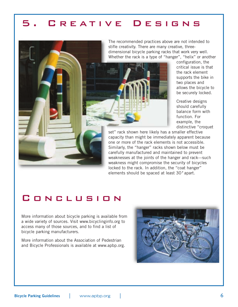## CREATIVE DESIGNS



configuration, the critical issue is that the rack element supports the bike in two places and allows the bicycle to be securely locked.

Creative designs should carefully balance form with function. For example, the distinctive "croquet

set" rack shown here likely has a smaller effective capacity than might be immediately apparent because one or more of the rack elements is not accessible. Similarly, the "hanger" racks shown below must be carefully manufactured and maintained to prevent weaknesses at the joints of the hanger and rack—such weakness might compromise the security of bicycles locked to the rack. In addition, the "coat hanger" elements should be spaced at least 30*"* apart.

#### Conclusion

More information about bicycle parking is available from a wide variety of sources. Visit www.bicyclinginfo.org to access many of those sources, and to find a list of bicycle parking manufacturers.

More information about the Association of Pedestrian and Bicycle Professionals is available at www.apbp.org.